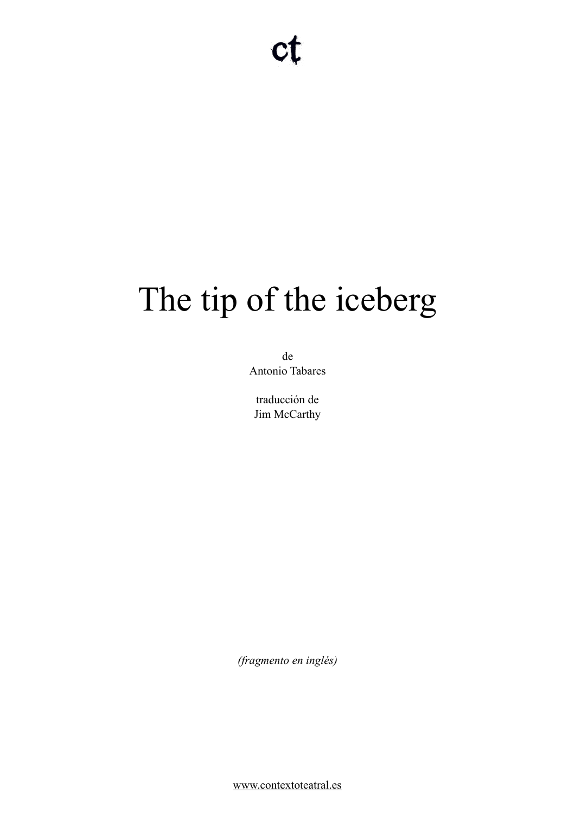# The tip of the iceberg

de Antonio Tabares

traducción de Jim McCarthy

*(fragmento en inglés)* 

[www.contextoteatral.es](http://www.contextoteatral.es)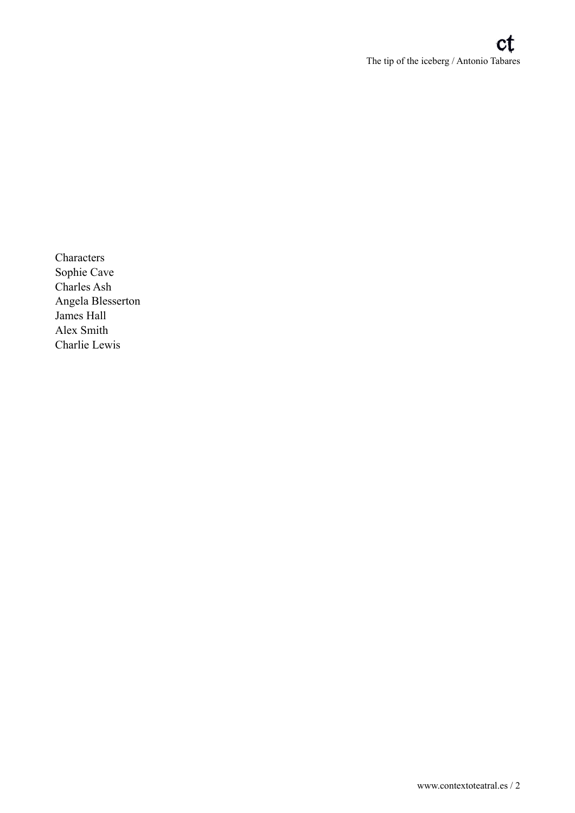Characters Sophie Cave Charles Ash Angela Blesserton James Hall Alex Smith Charlie Lewis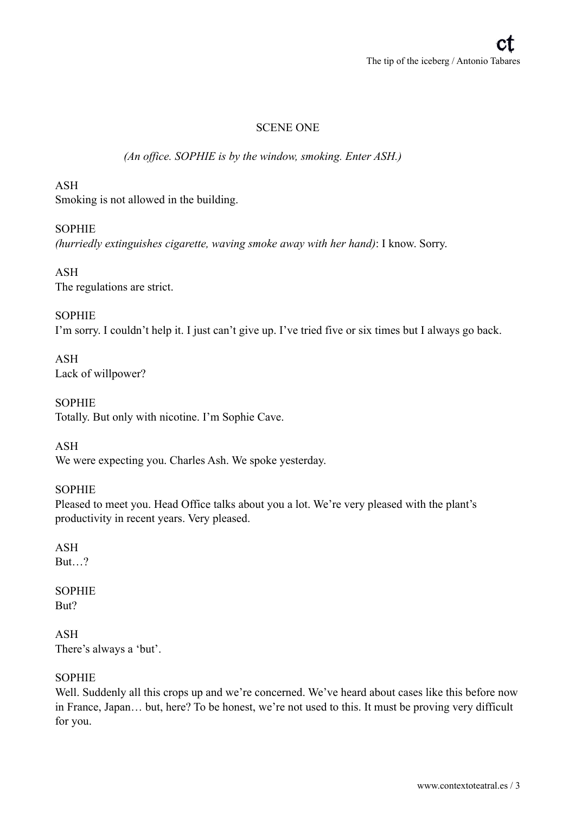## SCENE ONE

#### *(An office. SOPHIE is by the window, smoking. Enter ASH.)*

#### ASH

Smoking is not allowed in the building.

#### **SOPHIE**

*(hurriedly extinguishes cigarette, waving smoke away with her hand)*: I know. Sorry.

ASH The regulations are strict.

#### **SOPHIE**

I'm sorry. I couldn't help it. I just can't give up. I've tried five or six times but I always go back.

ASH Lack of willpower?

SOPHIE Totally. But only with nicotine. I'm Sophie Cave.

ASH We were expecting you. Charles Ash. We spoke yesterday.

#### SOPHIE

Pleased to meet you. Head Office talks about you a lot. We're very pleased with the plant's productivity in recent years. Very pleased.

#### ASH But…?

#### SOPHIE But?

ASH There's always a 'but'.

#### SOPHIE

Well. Suddenly all this crops up and we're concerned. We've heard about cases like this before now in France, Japan… but, here? To be honest, we're not used to this. It must be proving very difficult for you.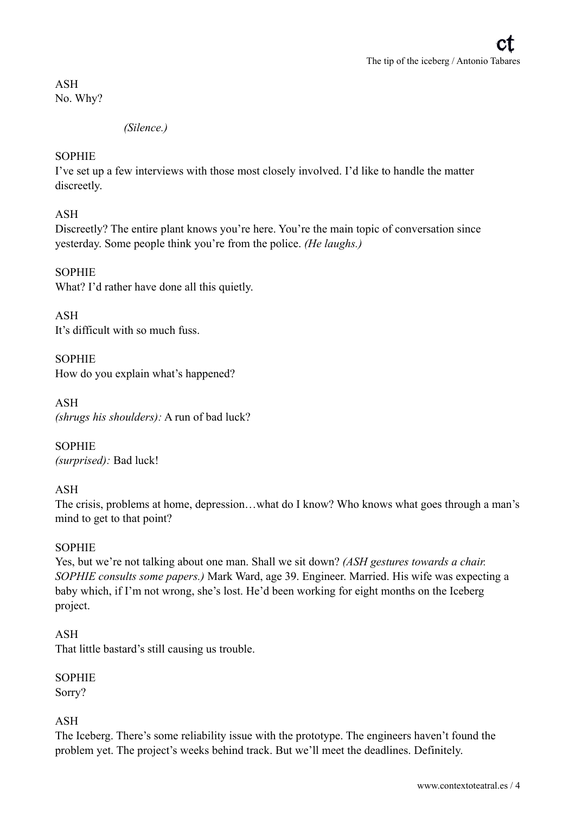ASH No. Why?

*(Silence.)* 

#### **SOPHIE**

I've set up a few interviews with those most closely involved. I'd like to handle the matter discreetly.

ASH

Discreetly? The entire plant knows you're here. You're the main topic of conversation since yesterday. Some people think you're from the police. *(He laughs.)*

**SOPHIE** What? I'd rather have done all this quietly.

ASH It's difficult with so much fuss.

**SOPHIE** How do you explain what's happened?

ASH *(shrugs his shoulders):* A run of bad luck?

SOPHIE *(surprised):* Bad luck!

## ASH

The crisis, problems at home, depression…what do I know? Who knows what goes through a man's mind to get to that point?

## SOPHIE

Yes, but we're not talking about one man. Shall we sit down? *(ASH gestures towards a chair. SOPHIE consults some papers.)* Mark Ward, age 39. Engineer. Married. His wife was expecting a baby which, if I'm not wrong, she's lost. He'd been working for eight months on the Iceberg project.

ASH That little bastard's still causing us trouble.

SOPHIE Sorry?

ASH

The Iceberg. There's some reliability issue with the prototype. The engineers haven't found the problem yet. The project's weeks behind track. But we'll meet the deadlines. Definitely.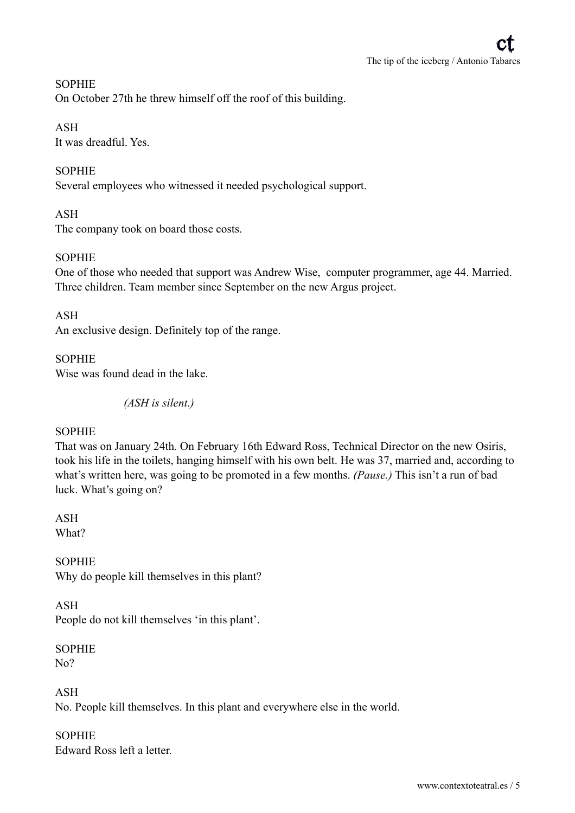#### **SOPHIE**

On October 27th he threw himself off the roof of this building.

#### ASH

It was dreadful. Yes.

## **SOPHIE**

Several employees who witnessed it needed psychological support.

#### ASH

The company took on board those costs.

#### **SOPHIE**

One of those who needed that support was Andrew Wise, computer programmer, age 44. Married. Three children. Team member since September on the new Argus project.

#### ASH

An exclusive design. Definitely top of the range.

#### **SOPHIE**

Wise was found dead in the lake.

*(ASH is silent.)* 

#### SOPHIE

That was on January 24th. On February 16th Edward Ross, Technical Director on the new Osiris, took his life in the toilets, hanging himself with his own belt. He was 37, married and, according to what's written here, was going to be promoted in a few months. *(Pause.)* This isn't a run of bad luck. What's going on?

ASH What?

SOPHIE Why do people kill themselves in this plant?

#### ASH

People do not kill themselves 'in this plant'.

SOPHIE No?

ASH No. People kill themselves. In this plant and everywhere else in the world.

**SOPHIE** Edward Ross left a letter.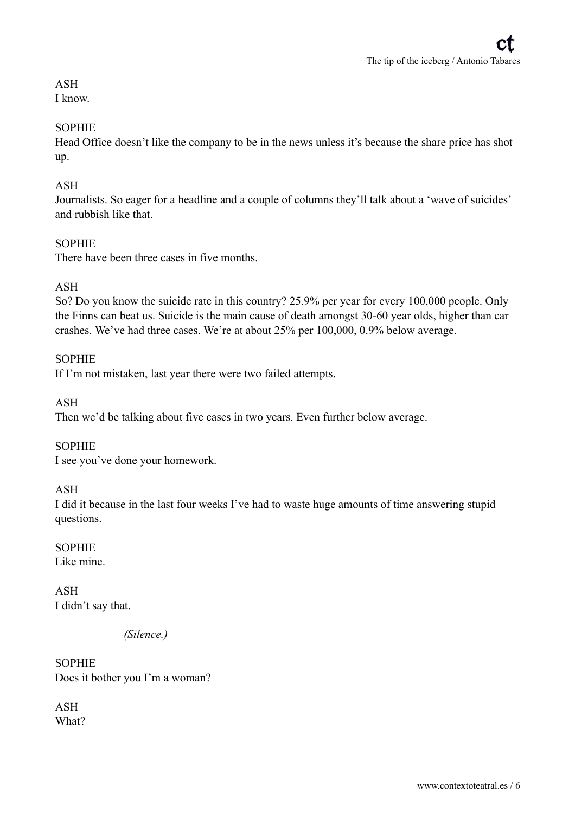## ASH

I know.

## **SOPHIE**

Head Office doesn't like the company to be in the news unless it's because the share price has shot up.

## ASH

Journalists. So eager for a headline and a couple of columns they'll talk about a 'wave of suicides' and rubbish like that.

## **SOPHIE**

There have been three cases in five months.

## ASH

So? Do you know the suicide rate in this country? 25.9% per year for every 100,000 people. Only the Finns can beat us. Suicide is the main cause of death amongst 30-60 year olds, higher than car crashes. We've had three cases. We're at about 25% per 100,000, 0.9% below average.

## **SOPHIE**

If I'm not mistaken, last year there were two failed attempts.

## ASH

Then we'd be talking about five cases in two years. Even further below average.

## SOPHIE

I see you've done your homework.

## ASH

I did it because in the last four weeks I've had to waste huge amounts of time answering stupid questions.

## **SOPHIE**

Like mine.

## ASH I didn't say that.

*(Silence.)* 

SOPHIE Does it bother you I'm a woman?

ASH What?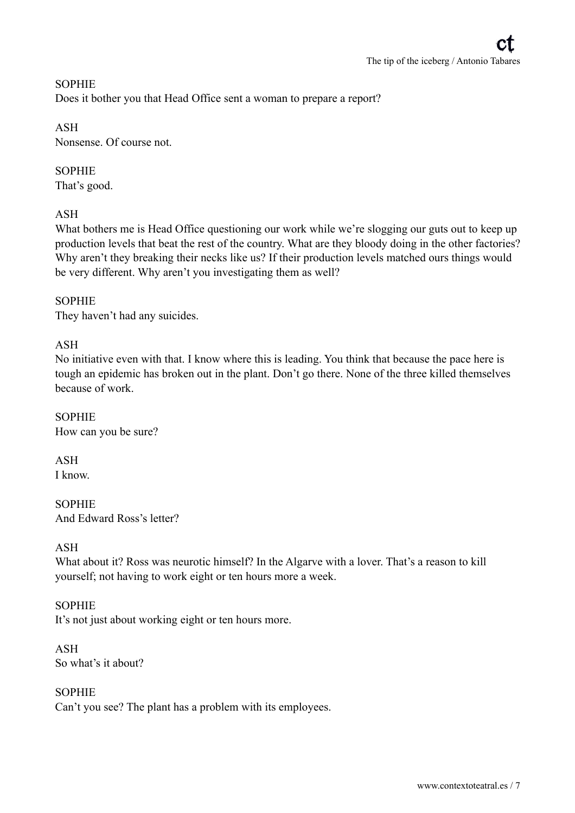## **SOPHIE** Does it bother you that Head Office sent a woman to prepare a report?

## ASH

Nonsense. Of course not.

## **SOPHIE**

That's good.

## ASH

What bothers me is Head Office questioning our work while we're slogging our guts out to keep up production levels that beat the rest of the country. What are they bloody doing in the other factories? Why aren't they breaking their necks like us? If their production levels matched ours things would be very different. Why aren't you investigating them as well?

## **SOPHIE**

They haven't had any suicides.

## ASH

No initiative even with that. I know where this is leading. You think that because the pace here is tough an epidemic has broken out in the plant. Don't go there. None of the three killed themselves because of work.

SOPHIE How can you be sure?

ASH I know.

SOPHIE And Edward Ross's letter?

## ASH

What about it? Ross was neurotic himself? In the Algarve with a lover. That's a reason to kill yourself; not having to work eight or ten hours more a week.

## SOPHIE

It's not just about working eight or ten hours more.

ASH So what's it about?

#### SOPHIE

Can't you see? The plant has a problem with its employees.